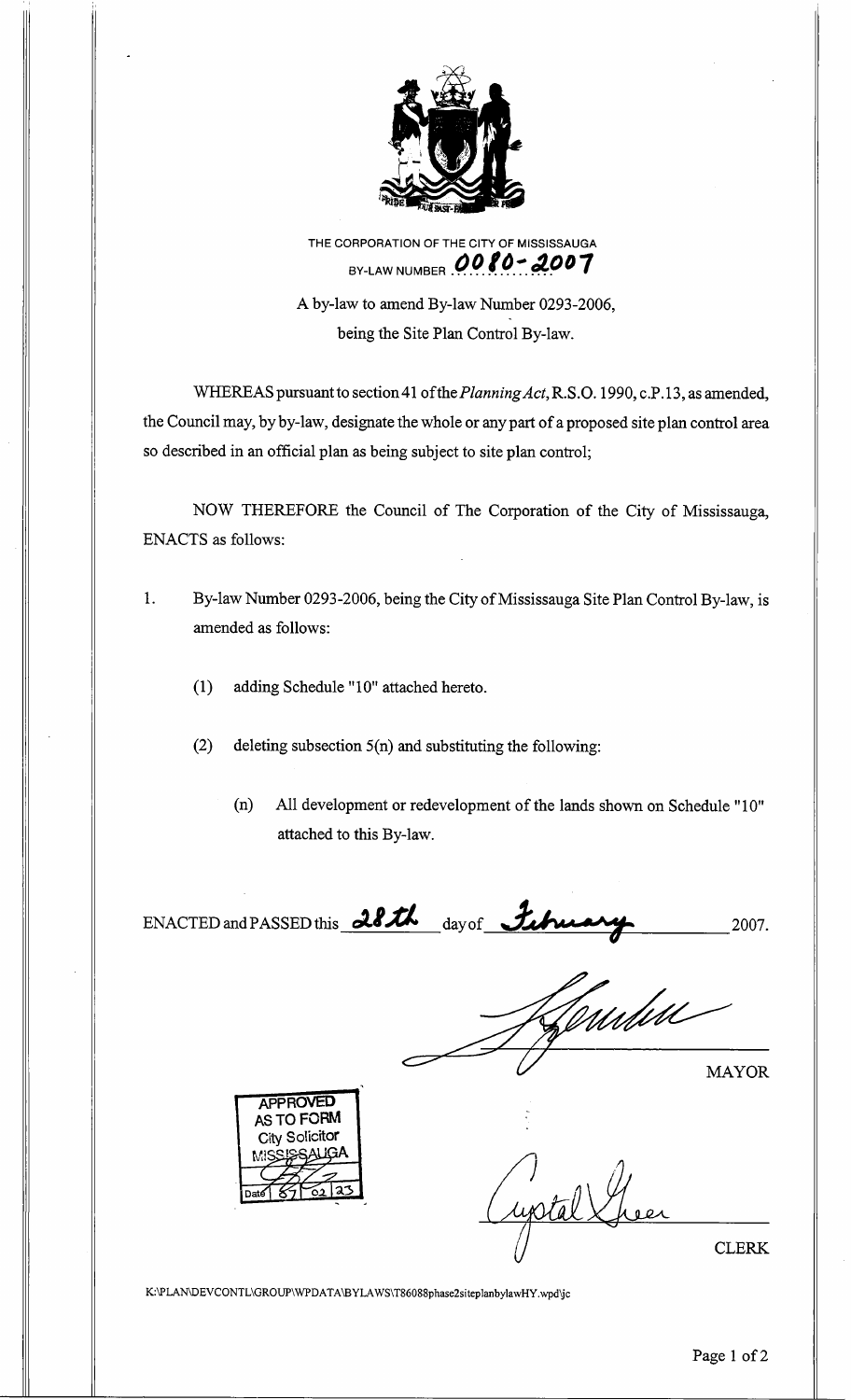

THE CORPORATION OF THE CITY OF MISSISSAUGA **BY-LAW NUMBER 0080-2007** 

A by-law to amend By-law Number 0293-2006, being the Site Plan Control By-law.

WHEREAS pursuant to section 41 of the *Planning Act*, R.S.O. 1990, c.P.13, as amended, the Council may, by by-law, designate the whole or any part of a proposed site plan control area so described in an official plan as being subject to site plan control;

NOW THEREFORE the Council of The Corporation of the City of Mississauga, ENACTS as follows:

- 1. By-law Number 0293-2006, being the City of Mississauga Site Plan Control By-law, is amended as follows:
	- (1) adding Schedule "10" attached hereto.
	- (2) deleting subsection  $5(n)$  and substituting the following:
		- (n) All development or redevelopment of the lands shown on Schedule "10" attached to this By-law.

ENACTED and PASSED this **28th** day of *Ichuary* 2007.

f<br>Muhtill

MAYOR



uptal Shee

K:\PLAN\DEVCONTL\GROUP\WPDATA\BYLAWS\T86088phase2siteplanbylawHY.wpd\jc

**CLERK**